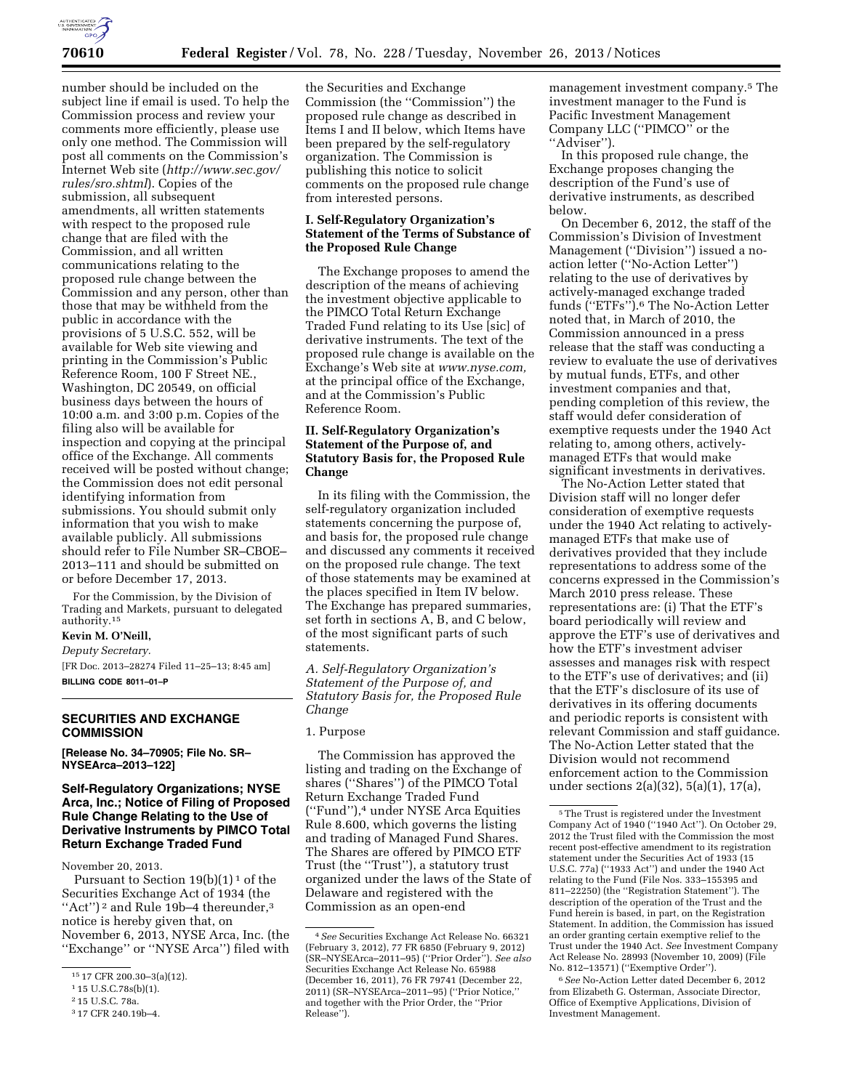

number should be included on the subject line if email is used. To help the Commission process and review your comments more efficiently, please use only one method. The Commission will post all comments on the Commission's Internet Web site (*[http://www.sec.gov/](http://www.sec.gov/rules/sro.shtml) [rules/sro.shtml](http://www.sec.gov/rules/sro.shtml)*). Copies of the submission, all subsequent amendments, all written statements with respect to the proposed rule change that are filed with the Commission, and all written communications relating to the proposed rule change between the Commission and any person, other than those that may be withheld from the public in accordance with the provisions of 5 U.S.C. 552, will be available for Web site viewing and printing in the Commission's Public Reference Room, 100 F Street NE., Washington, DC 20549, on official business days between the hours of 10:00 a.m. and 3:00 p.m. Copies of the filing also will be available for inspection and copying at the principal office of the Exchange. All comments received will be posted without change; the Commission does not edit personal identifying information from submissions. You should submit only information that you wish to make available publicly. All submissions should refer to File Number SR–CBOE– 2013–111 and should be submitted on or before December 17, 2013.

For the Commission, by the Division of Trading and Markets, pursuant to delegated authority.15

# **Kevin M. O'Neill,**

*Deputy Secretary.* 

[FR Doc. 2013–28274 Filed 11–25–13; 8:45 am] **BILLING CODE 8011–01–P** 

#### **SECURITIES AND EXCHANGE COMMISSION**

**[Release No. 34–70905; File No. SR– NYSEArca–2013–122]** 

## **Self-Regulatory Organizations; NYSE Arca, Inc.; Notice of Filing of Proposed Rule Change Relating to the Use of Derivative Instruments by PIMCO Total Return Exchange Traded Fund**

November 20, 2013.

Pursuant to Section  $19(b)(1)^1$  of the Securities Exchange Act of 1934 (the "Act")<sup>2</sup> and Rule 19b-4 thereunder,<sup>3</sup> notice is hereby given that, on November 6, 2013, NYSE Arca, Inc. (the ''Exchange'' or ''NYSE Arca'') filed with

the Securities and Exchange Commission (the ''Commission'') the proposed rule change as described in Items I and II below, which Items have been prepared by the self-regulatory organization. The Commission is publishing this notice to solicit comments on the proposed rule change from interested persons.

### **I. Self-Regulatory Organization's Statement of the Terms of Substance of the Proposed Rule Change**

The Exchange proposes to amend the description of the means of achieving the investment objective applicable to the PIMCO Total Return Exchange Traded Fund relating to its Use [sic] of derivative instruments. The text of the proposed rule change is available on the Exchange's Web site at *[www.nyse.com,](http://www.nyse.com)*  at the principal office of the Exchange, and at the Commission's Public Reference Room.

# **II. Self-Regulatory Organization's Statement of the Purpose of, and Statutory Basis for, the Proposed Rule Change**

In its filing with the Commission, the self-regulatory organization included statements concerning the purpose of, and basis for, the proposed rule change and discussed any comments it received on the proposed rule change. The text of those statements may be examined at the places specified in Item IV below. The Exchange has prepared summaries, set forth in sections A, B, and C below, of the most significant parts of such statements.

*A. Self-Regulatory Organization's Statement of the Purpose of, and Statutory Basis for, the Proposed Rule Change* 

## 1. Purpose

The Commission has approved the listing and trading on the Exchange of shares (''Shares'') of the PIMCO Total Return Exchange Traded Fund (''Fund''),4 under NYSE Arca Equities Rule 8.600, which governs the listing and trading of Managed Fund Shares. The Shares are offered by PIMCO ETF Trust (the ''Trust''), a statutory trust organized under the laws of the State of Delaware and registered with the Commission as an open-end

management investment company.5 The investment manager to the Fund is Pacific Investment Management Company LLC (''PIMCO'' or the "Adviser").

In this proposed rule change, the Exchange proposes changing the description of the Fund's use of derivative instruments, as described below.

On December 6, 2012, the staff of the Commission's Division of Investment Management (''Division'') issued a noaction letter (''No-Action Letter'') relating to the use of derivatives by actively-managed exchange traded funds (''ETFs'').6 The No-Action Letter noted that, in March of 2010, the Commission announced in a press release that the staff was conducting a review to evaluate the use of derivatives by mutual funds, ETFs, and other investment companies and that, pending completion of this review, the staff would defer consideration of exemptive requests under the 1940 Act relating to, among others, activelymanaged ETFs that would make significant investments in derivatives.

The No-Action Letter stated that Division staff will no longer defer consideration of exemptive requests under the 1940 Act relating to activelymanaged ETFs that make use of derivatives provided that they include representations to address some of the concerns expressed in the Commission's March 2010 press release. These representations are: (i) That the ETF's board periodically will review and approve the ETF's use of derivatives and how the ETF's investment adviser assesses and manages risk with respect to the ETF's use of derivatives; and (ii) that the ETF's disclosure of its use of derivatives in its offering documents and periodic reports is consistent with relevant Commission and staff guidance. The No-Action Letter stated that the Division would not recommend enforcement action to the Commission under sections 2(a)(32), 5(a)(1), 17(a),

6*See* No-Action Letter dated December 6, 2012 from Elizabeth G. Osterman, Associate Director, Office of Exemptive Applications, Division of Investment Management.

<sup>15</sup> 17 CFR 200.30–3(a)(12).

<sup>1</sup> 15 U.S.C.78s(b)(1).

<sup>2</sup> 15 U.S.C. 78a.

<sup>3</sup> 17 CFR 240.19b–4.

<sup>4</sup>*See* Securities Exchange Act Release No. 66321 (February 3, 2012), 77 FR 6850 (February 9, 2012) (SR–NYSEArca–2011–95) (''Prior Order''). *See also*  Securities Exchange Act Release No. 65988 (December 16, 2011), 76 FR 79741 (December 22, 2011) (SR–NYSEArca–2011–95) (''Prior Notice,'' and together with the Prior Order, the ''Prior Release'').

<sup>5</sup>The Trust is registered under the Investment Company Act of 1940 (''1940 Act''). On October 29, 2012 the Trust filed with the Commission the most recent post-effective amendment to its registration statement under the Securities Act of 1933 (15 U.S.C. 77a) (''1933 Act'') and under the 1940 Act relating to the Fund (File Nos. 333–155395 and 811–22250) (the ''Registration Statement''). The description of the operation of the Trust and the Fund herein is based, in part, on the Registration Statement. In addition, the Commission has issued an order granting certain exemptive relief to the Trust under the 1940 Act. *See* Investment Company Act Release No. 28993 (November 10, 2009) (File No. 812–13571) (''Exemptive Order'').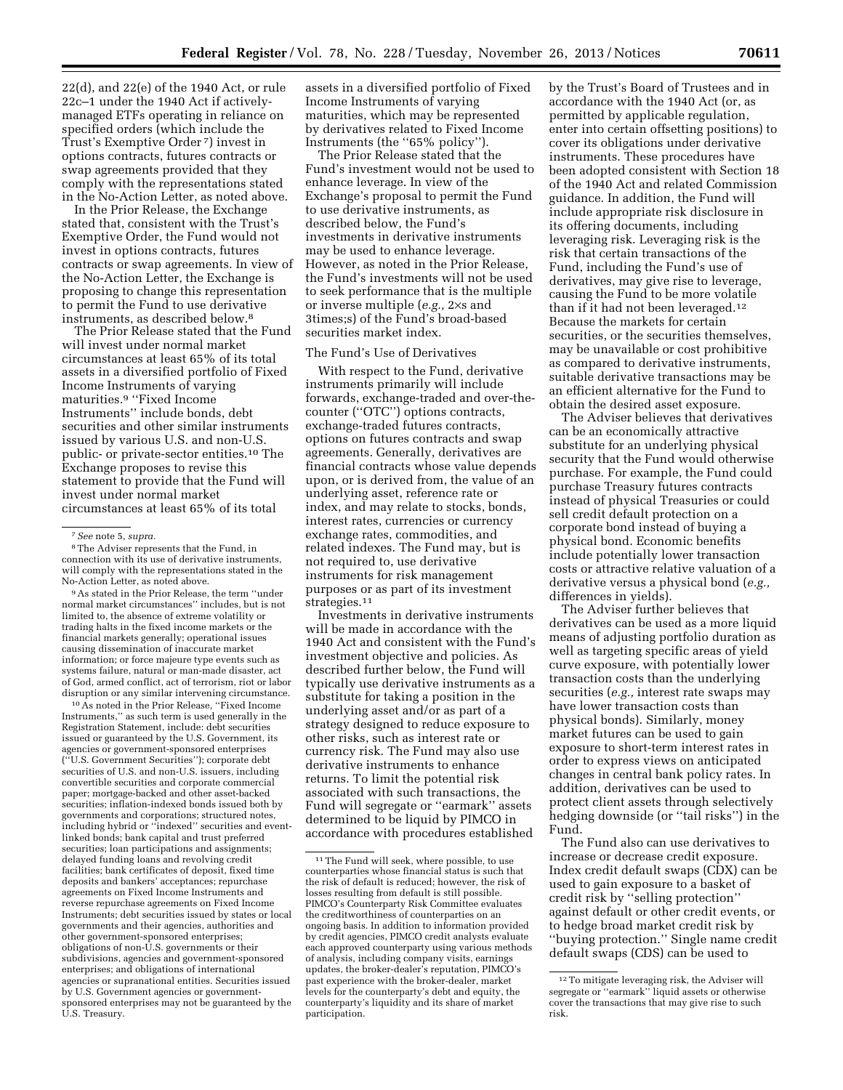22(d), and 22(e) of the 1940 Act, or rule 22c–1 under the 1940 Act if activelymanaged ETFs operating in reliance on specified orders (which include the Trust's Exemptive Order 7) invest in options contracts, futures contracts or swap agreements provided that they comply with the representations stated in the No-Action Letter, as noted above.

In the Prior Release, the Exchange stated that, consistent with the Trust's Exemptive Order, the Fund would not invest in options contracts, futures contracts or swap agreements. In view of the No-Action Letter, the Exchange is proposing to change this representation to permit the Fund to use derivative instruments, as described below.8

The Prior Release stated that the Fund will invest under normal market circumstances at least 65% of its total assets in a diversified portfolio of Fixed Income Instruments of varying maturities.9 ''Fixed Income Instruments'' include bonds, debt securities and other similar instruments issued by various U.S. and non-U.S. public- or private-sector entities.10 The Exchange proposes to revise this statement to provide that the Fund will invest under normal market circumstances at least 65% of its total

8The Adviser represents that the Fund, in connection with its use of derivative instruments, will comply with the representations stated in the No-Action Letter, as noted above.

9As stated in the Prior Release, the term ''under normal market circumstances'' includes, but is not limited to, the absence of extreme volatility or trading halts in the fixed income markets or the financial markets generally; operational issues causing dissemination of inaccurate market information; or force majeure type events such as systems failure, natural or man-made disaster, act of God, armed conflict, act of terrorism, riot or labor disruption or any similar intervening circumstance.

10As noted in the Prior Release, ''Fixed Income Instruments,'' as such term is used generally in the Registration Statement, include: debt securities issued or guaranteed by the U.S. Government, its agencies or government-sponsored enterprises (''U.S. Government Securities''); corporate debt securities of U.S. and non-U.S. issuers, including convertible securities and corporate commercial paper; mortgage-backed and other asset-backed securities; inflation-indexed bonds issued both by governments and corporations; structured notes, including hybrid or "indexed" securities and eventlinked bonds; bank capital and trust preferred securities; loan participations and assignments; delayed funding loans and revolving credit facilities; bank certificates of deposit, fixed time deposits and bankers' acceptances; repurchase agreements on Fixed Income Instruments and reverse repurchase agreements on Fixed Income Instruments; debt securities issued by states or local governments and their agencies, authorities and other government-sponsored enterprises; obligations of non-U.S. governments or their subdivisions, agencies and government-sponsored enterprises; and obligations of international agencies or supranational entities. Securities issued by U.S. Government agencies or governmentsponsored enterprises may not be guaranteed by the U.S. Treasury.

assets in a diversified portfolio of Fixed Income Instruments of varying maturities, which may be represented by derivatives related to Fixed Income Instruments (the ''65% policy'').

The Prior Release stated that the Fund's investment would not be used to enhance leverage. In view of the Exchange's proposal to permit the Fund to use derivative instruments, as described below, the Fund's investments in derivative instruments may be used to enhance leverage. However, as noted in the Prior Release, the Fund's investments will not be used to seek performance that is the multiple or inverse multiple (*e.g.,* 2×s and 3times;s) of the Fund's broad-based securities market index.

# The Fund's Use of Derivatives

With respect to the Fund, derivative instruments primarily will include forwards, exchange-traded and over-thecounter (''OTC'') options contracts, exchange-traded futures contracts, options on futures contracts and swap agreements. Generally, derivatives are financial contracts whose value depends upon, or is derived from, the value of an underlying asset, reference rate or index, and may relate to stocks, bonds, interest rates, currencies or currency exchange rates, commodities, and related indexes. The Fund may, but is not required to, use derivative instruments for risk management purposes or as part of its investment strategies.<sup>11</sup>

Investments in derivative instruments will be made in accordance with the 1940 Act and consistent with the Fund's investment objective and policies. As described further below, the Fund will typically use derivative instruments as a substitute for taking a position in the underlying asset and/or as part of a strategy designed to reduce exposure to other risks, such as interest rate or currency risk. The Fund may also use derivative instruments to enhance returns. To limit the potential risk associated with such transactions, the Fund will segregate or ''earmark'' assets determined to be liquid by PIMCO in accordance with procedures established

by the Trust's Board of Trustees and in accordance with the 1940 Act (or, as permitted by applicable regulation, enter into certain offsetting positions) to cover its obligations under derivative instruments. These procedures have been adopted consistent with Section 18 of the 1940 Act and related Commission guidance. In addition, the Fund will include appropriate risk disclosure in its offering documents, including leveraging risk. Leveraging risk is the risk that certain transactions of the Fund, including the Fund's use of derivatives, may give rise to leverage, causing the Fund to be more volatile than if it had not been leveraged.12 Because the markets for certain securities, or the securities themselves, may be unavailable or cost prohibitive as compared to derivative instruments, suitable derivative transactions may be an efficient alternative for the Fund to obtain the desired asset exposure.

The Adviser believes that derivatives can be an economically attractive substitute for an underlying physical security that the Fund would otherwise purchase. For example, the Fund could purchase Treasury futures contracts instead of physical Treasuries or could sell credit default protection on a corporate bond instead of buying a physical bond. Economic benefits include potentially lower transaction costs or attractive relative valuation of a derivative versus a physical bond (*e.g.,*  differences in yields).

The Adviser further believes that derivatives can be used as a more liquid means of adjusting portfolio duration as well as targeting specific areas of yield curve exposure, with potentially lower transaction costs than the underlying securities (*e.g.,* interest rate swaps may have lower transaction costs than physical bonds). Similarly, money market futures can be used to gain exposure to short-term interest rates in order to express views on anticipated changes in central bank policy rates. In addition, derivatives can be used to protect client assets through selectively hedging downside (or ''tail risks'') in the Fund.

The Fund also can use derivatives to increase or decrease credit exposure. Index credit default swaps (CDX) can be used to gain exposure to a basket of credit risk by ''selling protection'' against default or other credit events, or to hedge broad market credit risk by ''buying protection.'' Single name credit default swaps (CDS) can be used to

<sup>7</sup>*See* note 5, *supra.* 

<sup>&</sup>lt;sup>11</sup>The Fund will seek, where possible, to use counterparties whose financial status is such that the risk of default is reduced; however, the risk of losses resulting from default is still possible. PIMCO's Counterparty Risk Committee evaluates the creditworthiness of counterparties on an ongoing basis. In addition to information provided by credit agencies, PIMCO credit analysts evaluate each approved counterparty using various methods of analysis, including company visits, earnings updates, the broker-dealer's reputation, PIMCO's past experience with the broker-dealer, market levels for the counterparty's debt and equity, the counterparty's liquidity and its share of market participation.

<sup>12</sup>To mitigate leveraging risk, the Adviser will segregate or ''earmark'' liquid assets or otherwise cover the transactions that may give rise to such risk.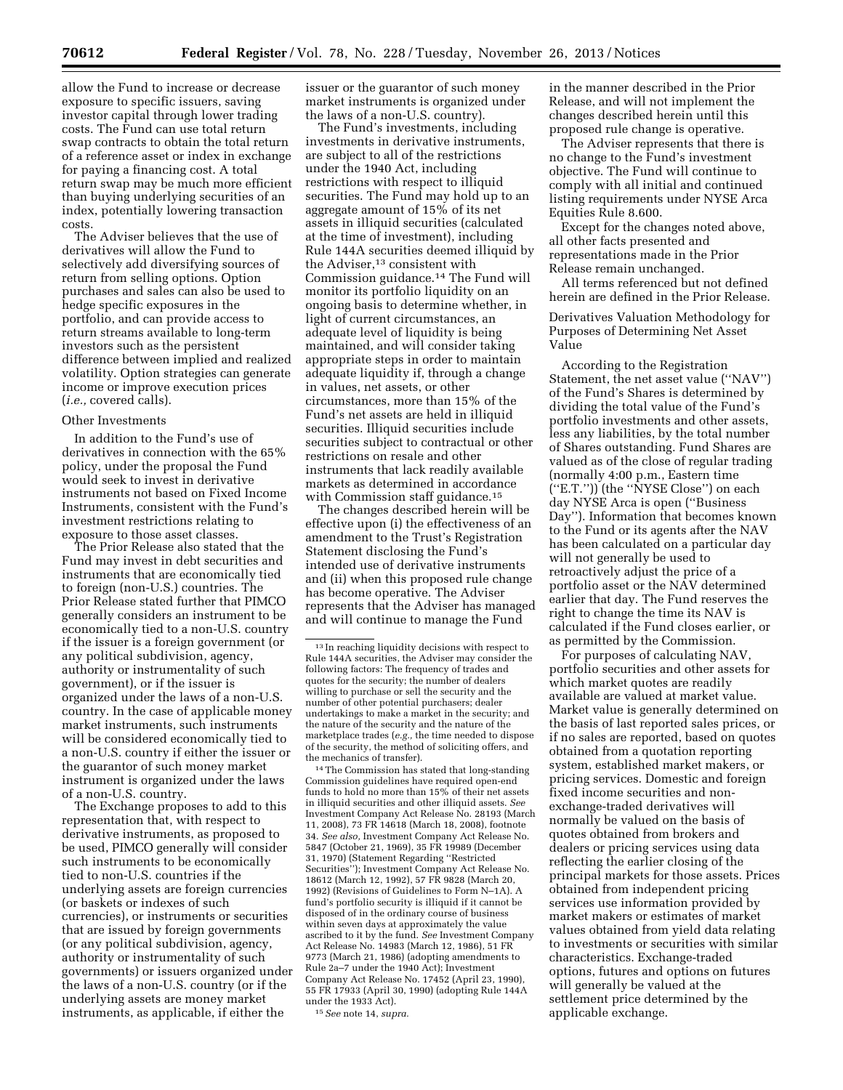swap contracts to obtain the total return of a reference asset or index in exchange for paying a financing cost. A total return swap may be much more efficient than buying underlying securities of an index, potentially lowering transaction costs.

The Adviser believes that the use of derivatives will allow the Fund to selectively add diversifying sources of return from selling options. Option purchases and sales can also be used to hedge specific exposures in the portfolio, and can provide access to return streams available to long-term investors such as the persistent difference between implied and realized volatility. Option strategies can generate income or improve execution prices (*i.e.,* covered calls).

#### Other Investments

In addition to the Fund's use of derivatives in connection with the 65% policy, under the proposal the Fund would seek to invest in derivative instruments not based on Fixed Income Instruments, consistent with the Fund's investment restrictions relating to exposure to those asset classes.

The Prior Release also stated that the Fund may invest in debt securities and instruments that are economically tied to foreign (non-U.S.) countries. The Prior Release stated further that PIMCO generally considers an instrument to be economically tied to a non-U.S. country if the issuer is a foreign government (or any political subdivision, agency, authority or instrumentality of such government), or if the issuer is organized under the laws of a non-U.S. country. In the case of applicable money market instruments, such instruments will be considered economically tied to a non-U.S. country if either the issuer or the guarantor of such money market instrument is organized under the laws of a non-U.S. country.

The Exchange proposes to add to this representation that, with respect to derivative instruments, as proposed to be used, PIMCO generally will consider such instruments to be economically tied to non-U.S. countries if the underlying assets are foreign currencies (or baskets or indexes of such currencies), or instruments or securities that are issued by foreign governments (or any political subdivision, agency, authority or instrumentality of such governments) or issuers organized under the laws of a non-U.S. country (or if the underlying assets are money market instruments, as applicable, if either the

issuer or the guarantor of such money market instruments is organized under the laws of a non-U.S. country).

The Fund's investments, including investments in derivative instruments, are subject to all of the restrictions under the 1940 Act, including restrictions with respect to illiquid securities. The Fund may hold up to an aggregate amount of 15% of its net assets in illiquid securities (calculated at the time of investment), including Rule 144A securities deemed illiquid by the Adviser,<sup>13</sup> consistent with Commission guidance.14 The Fund will monitor its portfolio liquidity on an ongoing basis to determine whether, in light of current circumstances, an adequate level of liquidity is being maintained, and will consider taking appropriate steps in order to maintain adequate liquidity if, through a change in values, net assets, or other circumstances, more than 15% of the Fund's net assets are held in illiquid securities. Illiquid securities include securities subject to contractual or other restrictions on resale and other instruments that lack readily available markets as determined in accordance with Commission staff guidance.<sup>15</sup>

The changes described herein will be effective upon (i) the effectiveness of an amendment to the Trust's Registration Statement disclosing the Fund's intended use of derivative instruments and (ii) when this proposed rule change has become operative. The Adviser represents that the Adviser has managed and will continue to manage the Fund

14The Commission has stated that long-standing Commission guidelines have required open-end funds to hold no more than 15% of their net assets in illiquid securities and other illiquid assets. *See*  Investment Company Act Release No. 28193 (March 11, 2008), 73 FR 14618 (March 18, 2008), footnote 34. *See also,* Investment Company Act Release No. 5847 (October 21, 1969), 35 FR 19989 (December 31, 1970) (Statement Regarding ''Restricted Securities''); Investment Company Act Release No. 18612 (March 12, 1992), 57 FR 9828 (March 20, 1992) (Revisions of Guidelines to Form N–1A). A fund's portfolio security is illiquid if it cannot be disposed of in the ordinary course of business within seven days at approximately the value ascribed to it by the fund. *See* Investment Company Act Release No. 14983 (March 12, 1986), 51 FR 9773 (March 21, 1986) (adopting amendments to Rule 2a–7 under the 1940 Act); Investment Company Act Release No. 17452 (April 23, 1990), 55 FR 17933 (April 30, 1990) (adopting Rule 144A under the 1933 Act).

15*See* note 14, *supra.* 

in the manner described in the Prior Release, and will not implement the changes described herein until this proposed rule change is operative.

The Adviser represents that there is no change to the Fund's investment objective. The Fund will continue to comply with all initial and continued listing requirements under NYSE Arca Equities Rule 8.600.

Except for the changes noted above, all other facts presented and representations made in the Prior Release remain unchanged.

All terms referenced but not defined herein are defined in the Prior Release.

Derivatives Valuation Methodology for Purposes of Determining Net Asset Value

According to the Registration Statement, the net asset value (''NAV'') of the Fund's Shares is determined by dividing the total value of the Fund's portfolio investments and other assets, less any liabilities, by the total number of Shares outstanding. Fund Shares are valued as of the close of regular trading (normally 4:00 p.m., Eastern time (''E.T.'')) (the ''NYSE Close'') on each day NYSE Arca is open (''Business Day''). Information that becomes known to the Fund or its agents after the NAV has been calculated on a particular day will not generally be used to retroactively adjust the price of a portfolio asset or the NAV determined earlier that day. The Fund reserves the right to change the time its NAV is calculated if the Fund closes earlier, or as permitted by the Commission.

For purposes of calculating NAV, portfolio securities and other assets for which market quotes are readily available are valued at market value. Market value is generally determined on the basis of last reported sales prices, or if no sales are reported, based on quotes obtained from a quotation reporting system, established market makers, or pricing services. Domestic and foreign fixed income securities and nonexchange-traded derivatives will normally be valued on the basis of quotes obtained from brokers and dealers or pricing services using data reflecting the earlier closing of the principal markets for those assets. Prices obtained from independent pricing services use information provided by market makers or estimates of market values obtained from yield data relating to investments or securities with similar characteristics. Exchange-traded options, futures and options on futures will generally be valued at the settlement price determined by the applicable exchange.

<sup>13</sup> In reaching liquidity decisions with respect to Rule 144A securities, the Adviser may consider the following factors: The frequency of trades and quotes for the security; the number of dealers willing to purchase or sell the security and the number of other potential purchasers; dealer undertakings to make a market in the security; and the nature of the security and the nature of the marketplace trades (*e.g.,* the time needed to dispose of the security, the method of soliciting offers, and the mechanics of transfer).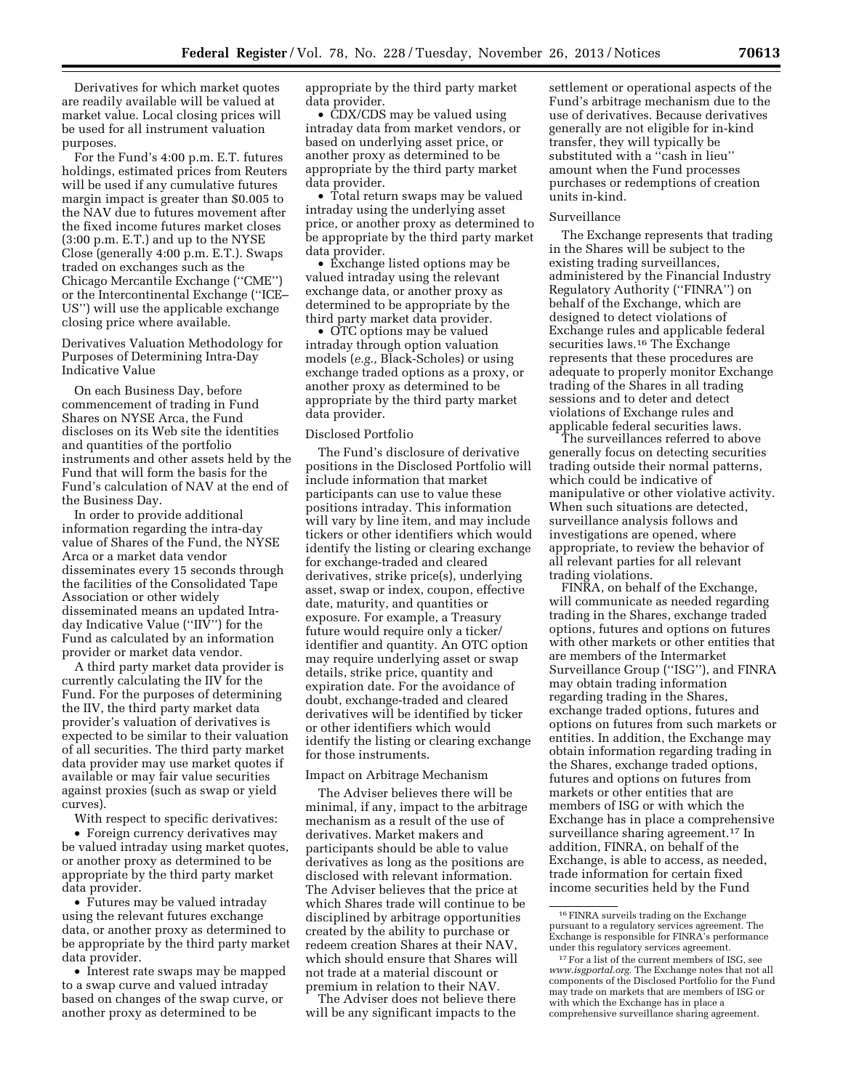Derivatives for which market quotes are readily available will be valued at market value. Local closing prices will be used for all instrument valuation purposes.

For the Fund's 4:00 p.m. E.T. futures holdings, estimated prices from Reuters will be used if any cumulative futures margin impact is greater than \$0.005 to the NAV due to futures movement after the fixed income futures market closes (3:00 p.m. E.T.) and up to the NYSE Close (generally 4:00 p.m. E.T.). Swaps traded on exchanges such as the Chicago Mercantile Exchange (''CME'') or the Intercontinental Exchange (''ICE– US'') will use the applicable exchange closing price where available.

Derivatives Valuation Methodology for Purposes of Determining Intra-Day Indicative Value

On each Business Day, before commencement of trading in Fund Shares on NYSE Arca, the Fund discloses on its Web site the identities and quantities of the portfolio instruments and other assets held by the Fund that will form the basis for the Fund's calculation of NAV at the end of the Business Day.

In order to provide additional information regarding the intra-day value of Shares of the Fund, the NYSE Arca or a market data vendor disseminates every 15 seconds through the facilities of the Consolidated Tape Association or other widely disseminated means an updated Intraday Indicative Value (''IIV'') for the Fund as calculated by an information provider or market data vendor.

A third party market data provider is currently calculating the IIV for the Fund. For the purposes of determining the IIV, the third party market data provider's valuation of derivatives is expected to be similar to their valuation of all securities. The third party market data provider may use market quotes if available or may fair value securities against proxies (such as swap or yield curves).

With respect to specific derivatives:

• Foreign currency derivatives may be valued intraday using market quotes, or another proxy as determined to be appropriate by the third party market data provider.

• Futures may be valued intraday using the relevant futures exchange data, or another proxy as determined to be appropriate by the third party market data provider.

• Interest rate swaps may be mapped to a swap curve and valued intraday based on changes of the swap curve, or another proxy as determined to be

appropriate by the third party market data provider.

• CDX/CDS may be valued using intraday data from market vendors, or based on underlying asset price, or another proxy as determined to be appropriate by the third party market data provider.

• Total return swaps may be valued intraday using the underlying asset price, or another proxy as determined to be appropriate by the third party market data provider.

• Exchange listed options may be valued intraday using the relevant exchange data, or another proxy as determined to be appropriate by the third party market data provider.

• OTC options may be valued intraday through option valuation models (*e.g.,* Black-Scholes) or using exchange traded options as a proxy, or another proxy as determined to be appropriate by the third party market data provider.

#### Disclosed Portfolio

The Fund's disclosure of derivative positions in the Disclosed Portfolio will include information that market participants can use to value these positions intraday. This information will vary by line item, and may include tickers or other identifiers which would identify the listing or clearing exchange for exchange-traded and cleared derivatives, strike price(s), underlying asset, swap or index, coupon, effective date, maturity, and quantities or exposure. For example, a Treasury future would require only a ticker/ identifier and quantity. An OTC option may require underlying asset or swap details, strike price, quantity and expiration date. For the avoidance of doubt, exchange-traded and cleared derivatives will be identified by ticker or other identifiers which would identify the listing or clearing exchange for those instruments.

#### Impact on Arbitrage Mechanism

The Adviser believes there will be minimal, if any, impact to the arbitrage mechanism as a result of the use of derivatives. Market makers and participants should be able to value derivatives as long as the positions are disclosed with relevant information. The Adviser believes that the price at which Shares trade will continue to be disciplined by arbitrage opportunities created by the ability to purchase or redeem creation Shares at their NAV, which should ensure that Shares will not trade at a material discount or premium in relation to their NAV.

The Adviser does not believe there will be any significant impacts to the

settlement or operational aspects of the Fund's arbitrage mechanism due to the use of derivatives. Because derivatives generally are not eligible for in-kind transfer, they will typically be substituted with a "cash in lieu" amount when the Fund processes purchases or redemptions of creation units in-kind.

#### Surveillance

The Exchange represents that trading in the Shares will be subject to the existing trading surveillances, administered by the Financial Industry Regulatory Authority (''FINRA'') on behalf of the Exchange, which are designed to detect violations of Exchange rules and applicable federal securities laws.16 The Exchange represents that these procedures are adequate to properly monitor Exchange trading of the Shares in all trading sessions and to deter and detect violations of Exchange rules and applicable federal securities laws.

The surveillances referred to above generally focus on detecting securities trading outside their normal patterns, which could be indicative of manipulative or other violative activity. When such situations are detected, surveillance analysis follows and investigations are opened, where appropriate, to review the behavior of all relevant parties for all relevant trading violations.

FINRA, on behalf of the Exchange, will communicate as needed regarding trading in the Shares, exchange traded options, futures and options on futures with other markets or other entities that are members of the Intermarket Surveillance Group (''ISG''), and FINRA may obtain trading information regarding trading in the Shares, exchange traded options, futures and options on futures from such markets or entities. In addition, the Exchange may obtain information regarding trading in the Shares, exchange traded options, futures and options on futures from markets or other entities that are members of ISG or with which the Exchange has in place a comprehensive surveillance sharing agreement.17 In addition, FINRA, on behalf of the Exchange, is able to access, as needed, trade information for certain fixed income securities held by the Fund

<sup>16</sup>FINRA surveils trading on the Exchange pursuant to a regulatory services agreement. The Exchange is responsible for FINRA's performance

<sup>&</sup>lt;sup>17</sup> For a list of the current members of ISG, see *[www.isgportal.org.](http://www.isgportal.org)* The Exchange notes that not all components of the Disclosed Portfolio for the Fund may trade on markets that are members of ISG or with which the Exchange has in place a comprehensive surveillance sharing agreement.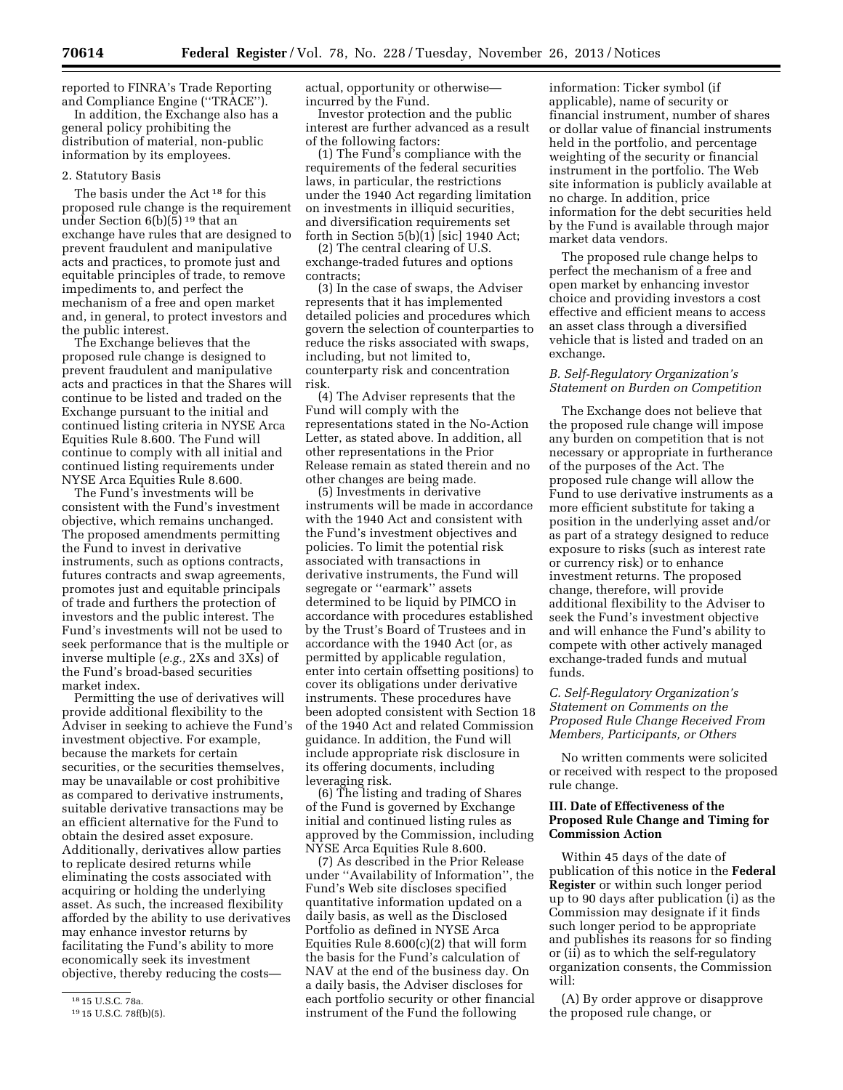reported to FINRA's Trade Reporting and Compliance Engine (''TRACE'').

In addition, the Exchange also has a general policy prohibiting the distribution of material, non-public information by its employees.

#### 2. Statutory Basis

The basis under the Act 18 for this proposed rule change is the requirement under Section 6(b)(5) 19 that an exchange have rules that are designed to prevent fraudulent and manipulative acts and practices, to promote just and equitable principles of trade, to remove impediments to, and perfect the mechanism of a free and open market and, in general, to protect investors and the public interest.

The Exchange believes that the proposed rule change is designed to prevent fraudulent and manipulative acts and practices in that the Shares will continue to be listed and traded on the Exchange pursuant to the initial and continued listing criteria in NYSE Arca Equities Rule 8.600. The Fund will continue to comply with all initial and continued listing requirements under NYSE Arca Equities Rule 8.600.

The Fund's investments will be consistent with the Fund's investment objective, which remains unchanged. The proposed amendments permitting the Fund to invest in derivative instruments, such as options contracts, futures contracts and swap agreements, promotes just and equitable principals of trade and furthers the protection of investors and the public interest. The Fund's investments will not be used to seek performance that is the multiple or inverse multiple (*e.g.,* 2Xs and 3Xs) of the Fund's broad-based securities market index.

Permitting the use of derivatives will provide additional flexibility to the Adviser in seeking to achieve the Fund's investment objective. For example, because the markets for certain securities, or the securities themselves, may be unavailable or cost prohibitive as compared to derivative instruments, suitable derivative transactions may be an efficient alternative for the Fund to obtain the desired asset exposure. Additionally, derivatives allow parties to replicate desired returns while eliminating the costs associated with acquiring or holding the underlying asset. As such, the increased flexibility afforded by the ability to use derivatives may enhance investor returns by facilitating the Fund's ability to more economically seek its investment objective, thereby reducing the costsactual, opportunity or otherwise incurred by the Fund.

Investor protection and the public interest are further advanced as a result of the following factors:

(1) The Fund's compliance with the requirements of the federal securities laws, in particular, the restrictions under the 1940 Act regarding limitation on investments in illiquid securities, and diversification requirements set forth in Section 5(b)(1) [sic] 1940 Act;

(2) The central clearing of U.S. exchange-traded futures and options contracts;

(3) In the case of swaps, the Adviser represents that it has implemented detailed policies and procedures which govern the selection of counterparties to reduce the risks associated with swaps, including, but not limited to, counterparty risk and concentration risk.

(4) The Adviser represents that the Fund will comply with the representations stated in the No-Action Letter, as stated above. In addition, all other representations in the Prior Release remain as stated therein and no other changes are being made.

(5) Investments in derivative instruments will be made in accordance with the 1940 Act and consistent with the Fund's investment objectives and policies. To limit the potential risk associated with transactions in derivative instruments, the Fund will segregate or ''earmark'' assets determined to be liquid by PIMCO in accordance with procedures established by the Trust's Board of Trustees and in accordance with the 1940 Act (or, as permitted by applicable regulation, enter into certain offsetting positions) to cover its obligations under derivative instruments. These procedures have been adopted consistent with Section 18 of the 1940 Act and related Commission guidance. In addition, the Fund will include appropriate risk disclosure in its offering documents, including leveraging risk.

(6) The listing and trading of Shares of the Fund is governed by Exchange initial and continued listing rules as approved by the Commission, including NYSE Arca Equities Rule 8.600.

(7) As described in the Prior Release under ''Availability of Information'', the Fund's Web site discloses specified quantitative information updated on a daily basis, as well as the Disclosed Portfolio as defined in NYSE Arca Equities Rule 8.600(c)(2) that will form the basis for the Fund's calculation of NAV at the end of the business day. On a daily basis, the Adviser discloses for each portfolio security or other financial instrument of the Fund the following

information: Ticker symbol (if applicable), name of security or financial instrument, number of shares or dollar value of financial instruments held in the portfolio, and percentage weighting of the security or financial instrument in the portfolio. The Web site information is publicly available at no charge. In addition, price information for the debt securities held by the Fund is available through major market data vendors.

The proposed rule change helps to perfect the mechanism of a free and open market by enhancing investor choice and providing investors a cost effective and efficient means to access an asset class through a diversified vehicle that is listed and traded on an exchange.

### *B. Self-Regulatory Organization's Statement on Burden on Competition*

The Exchange does not believe that the proposed rule change will impose any burden on competition that is not necessary or appropriate in furtherance of the purposes of the Act. The proposed rule change will allow the Fund to use derivative instruments as a more efficient substitute for taking a position in the underlying asset and/or as part of a strategy designed to reduce exposure to risks (such as interest rate or currency risk) or to enhance investment returns. The proposed change, therefore, will provide additional flexibility to the Adviser to seek the Fund's investment objective and will enhance the Fund's ability to compete with other actively managed exchange-traded funds and mutual funds.

### *C. Self-Regulatory Organization's Statement on Comments on the Proposed Rule Change Received From Members, Participants, or Others*

No written comments were solicited or received with respect to the proposed rule change.

## **III. Date of Effectiveness of the Proposed Rule Change and Timing for Commission Action**

Within 45 days of the date of publication of this notice in the **Federal Register** or within such longer period up to 90 days after publication (i) as the Commission may designate if it finds such longer period to be appropriate and publishes its reasons for so finding or (ii) as to which the self-regulatory organization consents, the Commission will:

(A) By order approve or disapprove the proposed rule change, or

<sup>18</sup> 15 U.S.C. 78a.

<sup>19</sup> 15 U.S.C. 78f(b)(5).